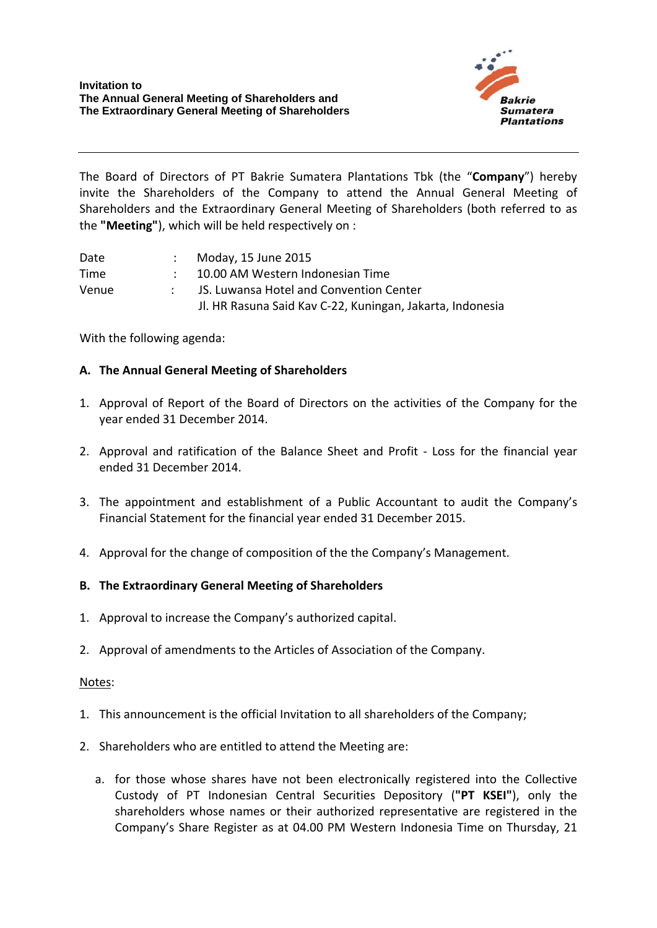

The Board of Directors of PT Bakrie Sumatera Plantations Tbk (the "**Company**") hereby invite the Shareholders of the Company to attend the Annual General Meeting of Shareholders and the Extraordinary General Meeting of Shareholders (both referred to as the **"Meeting"**), which will be held respectively on :

| Date  | Moday, 15 June 2015                                       |
|-------|-----------------------------------------------------------|
| Time  | : 10.00 AM Western Indonesian Time                        |
| Venue | JS. Luwansa Hotel and Convention Center                   |
|       | Jl. HR Rasuna Said Kav C-22, Kuningan, Jakarta, Indonesia |

With the following agenda:

## **A. The Annual General Meeting of Shareholders**

- 1. Approval of Report of the Board of Directors on the activities of the Company for the year ended 31 December 2014.
- 2. Approval and ratification of the Balance Sheet and Profit Loss for the financial year ended 31 December 2014.
- 3. The appointment and establishment of a Public Accountant to audit the Company's Financial Statement for the financial year ended 31 December 2015.
- 4. Approval for the change of composition of the the Company's Management.

## **B. The Extraordinary General Meeting of Shareholders**

- 1. Approval to increase the Company's authorized capital.
- 2. Approval of amendments to the Articles of Association of the Company.

## Notes:

- 1. This announcement is the official Invitation to all shareholders of the Company;
- 2. Shareholders who are entitled to attend the Meeting are:
	- a. for those whose shares have not been electronically registered into the Collective Custody of PT Indonesian Central Securities Depository (**"PT KSEI"**), only the shareholders whose names or their authorized representative are registered in the Company's Share Register as at 04.00 PM Western Indonesia Time on Thursday, 21